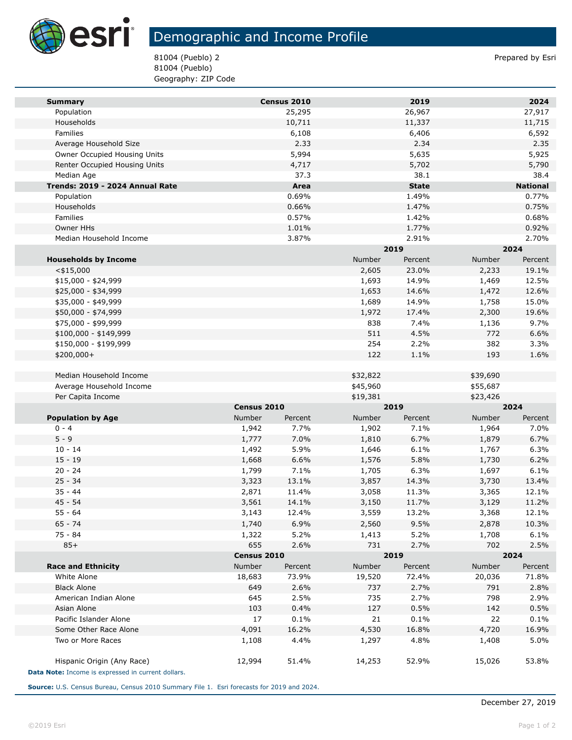

## Demographic and Income Profile

81004 (Pueblo) 2 Prepared by Esri 81004 (Pueblo) Geography: ZIP Code

| <b>Summary</b>                                     |             | Census 2010 |               | 2019         |          | 2024            |
|----------------------------------------------------|-------------|-------------|---------------|--------------|----------|-----------------|
| Population                                         |             | 25,295      |               | 26,967       |          | 27,917          |
| Households                                         |             | 10,711      |               | 11,337       |          | 11,715          |
| Families                                           |             | 6,108       |               | 6,406        |          | 6,592           |
| Average Household Size                             |             | 2.33        |               | 2.34         |          | 2.35            |
| Owner Occupied Housing Units                       |             | 5,994       |               | 5,635        |          | 5,925           |
| Renter Occupied Housing Units                      |             | 4,717       |               | 5,702        |          | 5,790           |
| Median Age                                         |             | 37.3        |               | 38.1         |          | 38.4            |
| Trends: 2019 - 2024 Annual Rate                    |             | Area        |               | <b>State</b> |          | <b>National</b> |
| Population                                         |             | 0.69%       |               | 1.49%        |          | 0.77%           |
| Households                                         |             | 0.66%       |               | 1.47%        |          | 0.75%           |
| Families                                           |             | 0.57%       |               | 1.42%        |          | 0.68%           |
| Owner HHs                                          |             | 1.01%       |               | 1.77%        |          | 0.92%           |
| Median Household Income                            |             | 3.87%       |               | 2.91%        |          | 2.70%           |
|                                                    |             |             |               | 2019         | 2024     |                 |
| <b>Households by Income</b>                        |             |             | Number        | Percent      | Number   | Percent         |
| $<$ \$15,000                                       |             |             | 2,605         | 23.0%        | 2,233    | 19.1%           |
| \$15,000 - \$24,999                                |             |             | 1,693         | 14.9%        | 1,469    | 12.5%           |
| \$25,000 - \$34,999                                |             |             | 1,653         | 14.6%        | 1,472    | 12.6%           |
| \$35,000 - \$49,999                                |             |             | 1,689         | 14.9%        | 1,758    | 15.0%           |
| \$50,000 - \$74,999                                |             |             | 1,972         | 17.4%        | 2,300    | 19.6%           |
| \$75,000 - \$99,999                                |             |             | 838           | 7.4%         | 1,136    | 9.7%            |
| \$100,000 - \$149,999                              |             |             | 511           | 4.5%         | 772      | 6.6%            |
| \$150,000 - \$199,999                              |             |             | 254           | 2.2%         | 382      | 3.3%            |
| \$200,000+                                         |             |             | 122           | 1.1%         | 193      | 1.6%            |
|                                                    |             |             |               |              |          |                 |
| Median Household Income                            |             |             | \$32,822      |              | \$39,690 |                 |
| Average Household Income                           |             |             | \$45,960      |              | \$55,687 |                 |
| Per Capita Income                                  |             |             | \$19,381      |              | \$23,426 |                 |
|                                                    | Census 2010 |             | 2019          |              | 2024     |                 |
| <b>Population by Age</b>                           | Number      | Percent     | Number        | Percent      | Number   | Percent         |
| $0 - 4$                                            | 1,942       | 7.7%        | 1,902         | 7.1%         | 1,964    | 7.0%            |
| $5 - 9$                                            | 1,777       | 7.0%        | 1,810         | 6.7%         | 1,879    | 6.7%            |
| $10 - 14$                                          | 1,492       | 5.9%        | 1,646         | 6.1%         | 1,767    | 6.3%            |
| $15 - 19$                                          | 1,668       | 6.6%        | 1,576         | 5.8%         | 1,730    | 6.2%            |
| $20 - 24$                                          | 1,799       | 7.1%        | 1,705         | 6.3%         | 1,697    | 6.1%            |
| $25 - 34$                                          | 3,323       | 13.1%       | 3,857         | 14.3%        | 3,730    | 13.4%           |
| $35 - 44$                                          | 2,871       | 11.4%       | 3,058         | 11.3%        | 3,365    | 12.1%           |
| $45 - 54$                                          | 3,561       | 14.1%       | 3,150         | 11.7%        | 3,129    | 11.2%           |
| $55 - 64$                                          | 3,143       | 12.4%       | 3,559         | 13.2%        | 3,368    | 12.1%           |
| 65 - 74                                            | 1,740       | 6.9%        | 2,560         | 9.5%         | 2,878    | 10.3%           |
| 75 - 84                                            | 1,322       | 5.2%        | 1,413         | 5.2%         | 1,708    | 6.1%            |
| $85+$                                              | 655         | 2.6%        | 731           | 2.7%         | 702      | 2.5%            |
|                                                    |             | Census 2010 |               | 2019         | 2024     |                 |
| <b>Race and Ethnicity</b>                          | Number      | Percent     | <b>Number</b> | Percent      | Number   | Percent         |
| White Alone                                        | 18,683      | 73.9%       | 19,520        | 72.4%        | 20,036   | 71.8%           |
| <b>Black Alone</b>                                 | 649         | 2.6%        | 737           | 2.7%         | 791      | 2.8%            |
| American Indian Alone                              | 645         | 2.5%        | 735           | 2.7%         | 798      | 2.9%            |
| Asian Alone                                        | 103         | 0.4%        | 127           | 0.5%         | 142      | 0.5%            |
| Pacific Islander Alone                             | 17          | 0.1%        | 21            | 0.1%         | 22       | 0.1%            |
| Some Other Race Alone                              | 4,091       | 16.2%       | 4,530         | 16.8%        | 4,720    | 16.9%           |
| Two or More Races                                  | 1,108       | 4.4%        | 1,297         | 4.8%         | 1,408    | 5.0%            |
|                                                    |             |             |               |              |          |                 |
| Hispanic Origin (Any Race)                         | 12,994      | 51.4%       | 14,253        | 52.9%        | 15,026   | 53.8%           |
| Data Note: Income is expressed in current dollars. |             |             |               |              |          |                 |

**Source:** U.S. Census Bureau, Census 2010 Summary File 1. Esri forecasts for 2019 and 2024.